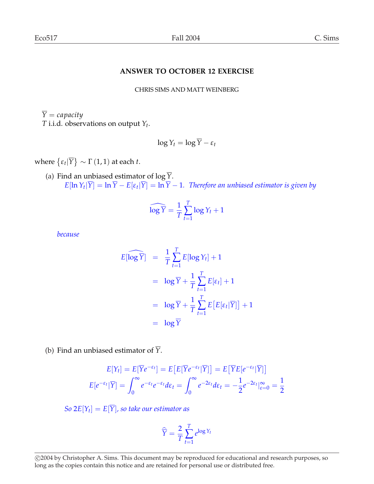## **ANSWER TO OCTOBER 12 EXERCISE**

CHRIS SIMS AND MATT WEINBERG

 $\overline{Y} = capacity$ *T* i.i.d. observations on output *Y<sup>t</sup>* .

$$
\log Y_t = \log \overline{Y} - \varepsilon_t
$$

where  $\{\varepsilon_t | \overline{Y}\}$ ª  $\sim$   $\Gamma$  (1, 1) at each *t*.

(a) Find an unbiased estimator of  $\log \overline{Y}$ .  $E[\ln Y_t|Y] = \ln Y - E[\varepsilon_t|Y] = \ln Y - 1$ . *Therefore an unbiased estimator is given by* 

$$
\widehat{\log Y} = \frac{1}{T} \sum_{t=1}^{T} \log Y_t + 1
$$

*because*

$$
E[\widehat{\log Y}] = \frac{1}{T} \sum_{t=1}^{T} E[\log Y_t] + 1
$$
  
=  $\log \overline{Y} + \frac{1}{T} \sum_{t=1}^{T} E[\varepsilon_t] + 1$   
=  $\log \overline{Y} + \frac{1}{T} \sum_{t=1}^{T} E[E[\varepsilon_t | \overline{Y}]] + 1$   
=  $\log \overline{Y}$ 

(b) Find an unbiased estimator of  $\overline{Y}$ .

$$
E[Y_t] = E[\overline{Y}e^{-\varepsilon_t}] = E[E[\overline{Y}e^{-\varepsilon_t}|\overline{Y}]] = E[\overline{Y}E[e^{-\varepsilon_t}|\overline{Y}]]
$$

$$
E[e^{-\varepsilon_t}|\overline{Y}] = \int_0^\infty e^{-\varepsilon_t}e^{-\varepsilon_t}d\varepsilon_t = \int_0^\infty e^{-2\varepsilon_t}d\varepsilon_t = -\frac{1}{2}e^{-2\varepsilon_t}|_{\varepsilon=0}^\infty = \frac{1}{2}
$$

 $So 2E[Y_t] = E[Y]$ , so take our estimator as

$$
\widehat{\overline{Y}} = \frac{2}{T} \sum_{t=1}^{T} e^{\log Y_t}
$$

<sup>°</sup>c 2004 by Christopher A. Sims. This document may be reproduced for educational and research purposes, so long as the copies contain this notice and are retained for personal use or distributed free.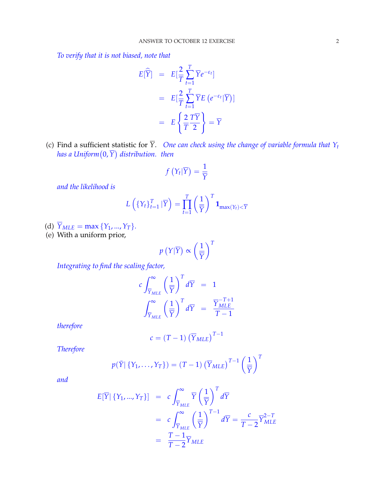*To verify that it is not biased, note that*

$$
E[\widehat{Y}] = E[\frac{2}{T} \sum_{t=1}^{T} \overline{Y}e^{-\epsilon_t}]
$$
  
= 
$$
E[\frac{2}{T} \sum_{t=1}^{T} \overline{Y}E(e^{-\epsilon_t}|\overline{Y})]
$$
  
= 
$$
E\left\{\frac{2}{T} \frac{T\overline{Y}}{2}\right\} = \overline{Y}
$$

(c) Find a sufficient statistic for *Y*. *One can check using the change of variable formula that*  $Y_t$ ring a sufficient statistic for *t* . One<br>has a Uniform (0,  $\overline{Y}$ ) distribution. then

$$
f\left(\left.Y_t\right|\overline{Y}\right)=\frac{1}{\overline{Y}}
$$

*and the likelihood is*

$$
L\left(\left\{Y_t\right\}_{t=1}^T|\overline{Y}\right) = \prod_{t=1}^T \left(\frac{1}{\overline{Y}}\right)^T \mathbf{1}_{\max(Y_t) < \overline{Y}}
$$

- (d)  $\overline{Y}_{MLE} = \max \{Y_1, ..., Y_T\}.$
- (e) With a uniform prior,

$$
p(Y|\overline{Y}) \propto \left(\frac{1}{\overline{Y}}\right)^T
$$

*Integrating to find the scaling factor,*

$$
c \int_{\overline{Y}_{MLE}}^{\infty} \left(\frac{1}{\overline{Y}}\right)^{T} d\overline{Y} = 1
$$
  

$$
\int_{\overline{Y}_{MLE}}^{\infty} \left(\frac{1}{\overline{Y}}\right)^{T} d\overline{Y} = \frac{\overline{Y}_{MLE}^{-T+1}}{T-1}
$$

*therefore*

$$
c = (T - 1) \left(\overline{Y}_{MLE}\right)^{T - 1}
$$

*Therefore*

$$
p(\bar{Y} | \{Y_1, \ldots, Y_T\}) = (T - 1) (\bar{Y}_{MLE})^{T-1} \left(\frac{1}{\bar{Y}}\right)^T
$$

*and*

$$
E[\overline{Y} | \{Y_1, ..., Y_T\}] = c \int_{\overline{Y}_{MLE}}^{\infty} \overline{Y} \left(\frac{1}{\overline{Y}}\right)^T d\overline{Y}
$$
  
= 
$$
c \int_{\overline{Y}_{MLE}}^{\infty} \left(\frac{1}{\overline{Y}}\right)^{T-1} d\overline{Y} = \frac{c}{T-2} \overline{Y}_{MLE}^{2-T}
$$
  
= 
$$
\frac{T-1}{T-2} \overline{Y}_{MLE}
$$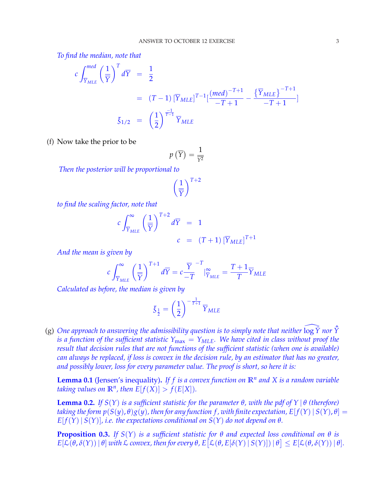*To find the median, note that*

$$
c \int_{\overline{Y}_{MLE}}^{med} \left(\frac{1}{\overline{Y}}\right)^{T} d\overline{Y} = \frac{1}{2}
$$
  
=  $(T-1) [\overline{Y}_{MLE}]^{T-1} [\frac{(med)^{-T+1}}{-T+1} - \frac{\{\overline{Y}_{MLE}\}}{-T+1}]$   

$$
\overline{\xi}_{1/2} = \left(\frac{1}{2}\right)^{\frac{-1}{T-1}} \overline{Y}_{MLE}
$$

(f) Now take the prior to be

$$
p\left(\overline{Y}\right) = \frac{1}{\overline{Y^2}}
$$

*Then the posterior will be proportional to*

 $\mathcal{L}$ 1 *Y*  $\sqrt{T+2}$ 

*to find the scaling factor, note that*

$$
c \int_{\overline{Y}_{MLE}}^{\infty} \left(\frac{1}{\overline{Y}}\right)^{T+2} d\overline{Y} = 1
$$
  

$$
c = (T+1) [\overline{Y}_{MLE}]^{T+1}
$$

*And the mean is given by*

$$
c \int_{\overline{Y}_{MLE}}^{\infty} \left(\frac{1}{\overline{Y}}\right)^{T+1} d\overline{Y} = c \frac{\overline{Y}}{-T}^{-T} \Big|_{\overline{Y}_{MLE}}^{\infty} = \frac{T+1}{T} \overline{Y}_{MLE}
$$

*Calculated as before, the median is given by*

$$
\xi_{\frac{1}{2}}=\left(\frac{1}{2}\right)^{-\frac{1}{T+1}}\overline{Y}_{MLE}
$$

(g) One approach to answering the admissibility question is to simply note that neither  $\widehat{\log Y}$  nor  $\hat{Y}$ *is a function of the sufficient statistic*  $Y_{\text{max}} = Y_{\text{MLE}}$ *. We have cited in class without proof the result that decision rules that are not functions of the sufficient statistic (when one is available) can always be replaced, if loss is convex in the decision rule, by an estimator that has no greater, and possibly lower, loss for every parameter value. The proof is short, so here it is:*

**Lemma 0.1** (Jensen's inequality)**.** *If f is a convex function on* **R***<sup>n</sup> and X is a random variable taking values on*  $\mathbb{R}^n$ *, then*  $E[f(X)] > f(E[X])$ *.* 

**Lemma 0.2.** *If*  $S(Y)$  *is a sufficient statistic for the parameter θ, with the pdf of*  $Y | θ$  *(therefore) taking the form*  $p(S(y), \theta)g(y)$ , then for any function f, with finite expectation,  $E[f(Y) | S(Y), \theta] =$  $E[f(Y) | S(Y)]$ *, i.e. the expectations conditional on*  $S(Y)$  *do not depend on*  $\theta$ *.* 

**Proposition 0.3.** *If*  $S(Y)$  *is a sufficient statistic for*  $\theta$  *and expected loss conditional on*  $\theta$  *is*  $E[\mathcal{L}(\theta, \delta(Y)) | \theta]$  with  $\mathcal L$  convex, then for every  $\theta$ ,  $E[\mathcal{L}(\theta, E[\delta(Y) | S(Y)]) | \theta] \leq E[\mathcal{L}(\theta, \delta(Y)) | \theta]$ .